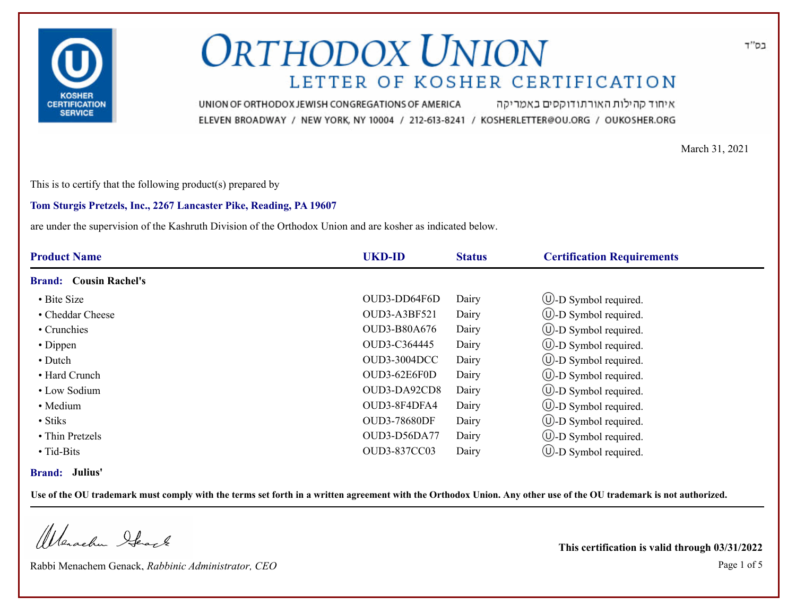

איחוד קהילות האורתודוקסים באמריקה UNION OF ORTHODOX JEWISH CONGREGATIONS OF AMERICA ELEVEN BROADWAY / NEW YORK, NY 10004 / 212-613-8241 / KOSHERLETTER@OU.ORG / OUKOSHER.ORG

March 31, 2021

This is to certify that the following product(s) prepared by

### **Tom Sturgis Pretzels, Inc., 2267 Lancaster Pike, Reading, PA 19607**

are under the supervision of the Kashruth Division of the Orthodox Union and are kosher as indicated below.

| <b>Product Name</b>           | <b>UKD-ID</b>       | <b>Status</b> | <b>Certification Requirements</b> |
|-------------------------------|---------------------|---------------|-----------------------------------|
| <b>Brand:</b> Cousin Rachel's |                     |               |                                   |
| • Bite Size                   | OUD3-DD64F6D        | Dairy         | $\cup$ -D Symbol required.        |
| • Cheddar Cheese              | OUD3-A3BF521        | Dairy         | $\circled{1}$ -D Symbol required. |
| • Crunchies                   | <b>OUD3-B80A676</b> | Dairy         | $\cup$ -D Symbol required.        |
| • Dippen                      | OUD3-C364445        | Dairy         | $\bigcirc$ -D Symbol required.    |
| • Dutch                       | <b>OUD3-3004DCC</b> | Dairy         | $\cup$ -D Symbol required.        |
| • Hard Crunch                 | OUD3-62E6F0D        | Dairy         | $\cup$ -D Symbol required.        |
| • Low Sodium                  | OUD3-DA92CD8        | Dairy         | $\cup$ -D Symbol required.        |
| · Medium                      | OUD3-8F4DFA4        | Dairy         | $\bigcirc$ -D Symbol required.    |
| • Stiks                       | <b>OUD3-78680DF</b> | Dairy         | $\cup$ -D Symbol required.        |
| • Thin Pretzels               | OUD3-D56DA77        | Dairy         | $\bigcup$ -D Symbol required.     |
| $\bullet$ Tid-Bits            | OUD3-837CC03        | Dairy         | $(U)$ -D Symbol required.         |

### **Brand: Julius'**

**Use of the OU trademark must comply with the terms set forth in a written agreement with the Orthodox Union. Any other use of the OU trademark is not authorized.**

Werschn Stack

Rabbi Menachem Genack, *Rabbinic Administrator, CEO* Page 1 of 5

**This certification is valid through 03/31/2022**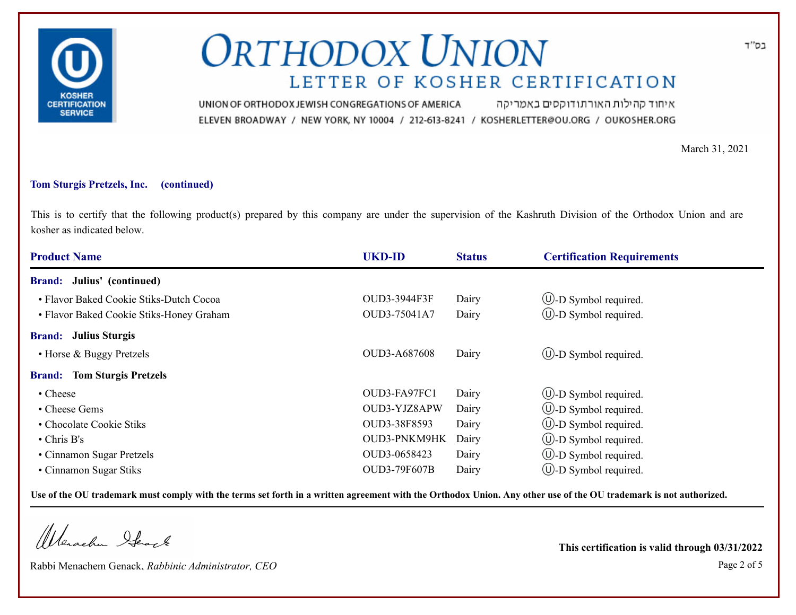

איחוד קהילות האורתודוקסים באמריקה UNION OF ORTHODOX JEWISH CONGREGATIONS OF AMERICA ELEVEN BROADWAY / NEW YORK, NY 10004 / 212-613-8241 / KOSHERLETTER@OU.ORG / OUKOSHER.ORG

March 31, 2021

### **Tom Sturgis Pretzels, Inc. (continued)**

This is to certify that the following product(s) prepared by this company are under the supervision of the Kashruth Division of the Orthodox Union and are kosher as indicated below.

| <b>Product Name</b>                      | <b>UKD-ID</b>       | <b>Status</b> | <b>Certification Requirements</b> |  |
|------------------------------------------|---------------------|---------------|-----------------------------------|--|
| <b>Brand:</b> Julius' (continued)        |                     |               |                                   |  |
| • Flavor Baked Cookie Stiks-Dutch Cocoa  | OUD3-3944F3F        | Dairy         | $\circled{1}$ -D Symbol required. |  |
| · Flavor Baked Cookie Stiks-Honey Graham | OUD3-75041A7        | Dairy         | $\cup$ -D Symbol required.        |  |
| <b>Brand:</b> Julius Sturgis             |                     |               |                                   |  |
| • Horse & Buggy Pretzels                 | OUD3-A687608        | Dairy         | $\cup$ -D Symbol required.        |  |
| <b>Brand:</b> Tom Sturgis Pretzels       |                     |               |                                   |  |
| • Cheese                                 | OUD3-FA97FC1        | Dairy         | $\circled{1}$ -D Symbol required. |  |
| • Cheese Gems                            | OUD3-YJZ8APW        | Dairy         | $\cup$ -D Symbol required.        |  |
| • Chocolate Cookie Stiks                 | OUD3-38F8593        | Dairy         | $(U)$ -D Symbol required.         |  |
| $\cdot$ Chris B's                        | OUD3-PNKM9HK        | Dairy         | $\cup$ -D Symbol required.        |  |
| • Cinnamon Sugar Pretzels                | OUD3-0658423        | Dairy         | $\cup$ -D Symbol required.        |  |
| • Cinnamon Sugar Stiks                   | <b>OUD3-79F607B</b> | Dairy         | $(U)$ -D Symbol required.         |  |

**Use of the OU trademark must comply with the terms set forth in a written agreement with the Orthodox Union. Any other use of the OU trademark is not authorized.**

Werachen Ifearle

Rabbi Menachem Genack, *Rabbinic Administrator, CEO* Page 2 of 5

**This certification is valid through 03/31/2022**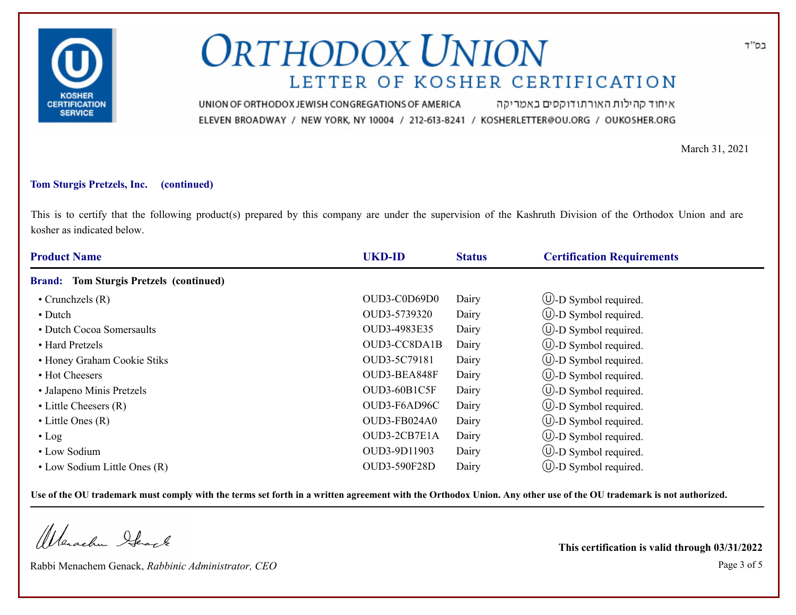

איחוד קהילות האורתודוקסים באמריקה UNION OF ORTHODOX JEWISH CONGREGATIONS OF AMERICA ELEVEN BROADWAY / NEW YORK, NY 10004 / 212-613-8241 / KOSHERLETTER@OU.ORG / OUKOSHER.ORG

March 31, 2021

#### **Tom Sturgis Pretzels, Inc. (continued)**

This is to certify that the following product(s) prepared by this company are under the supervision of the Kashruth Division of the Orthodox Union and are kosher as indicated below.

| <b>Product Name</b>                                      | <b>UKD-ID</b> | <b>Status</b> | <b>Certification Requirements</b> |
|----------------------------------------------------------|---------------|---------------|-----------------------------------|
| <b>Tom Sturgis Pretzels (continued)</b><br><b>Brand:</b> |               |               |                                   |
| $\bullet$ Crunchzels (R)                                 | OUD3-C0D69D0  | Dairy         | $\cup$ -D Symbol required.        |
| • Dutch                                                  | OUD3-5739320  | Dairy         | $\cup$ -D Symbol required.        |
| • Dutch Cocoa Somersaults                                | OUD3-4983E35  | Dairy         | $\bigcirc$ -D Symbol required.    |
| • Hard Pretzels                                          | OUD3-CC8DA1B  | Dairy         | $\bigcup$ -D Symbol required.     |
| • Honey Graham Cookie Stiks                              | OUD3-5C79181  | Dairy         | $\cup$ -D Symbol required.        |
| • Hot Cheesers                                           | OUD3-BEA848F  | Dairy         | $\bigcirc$ -D Symbol required.    |
| • Jalapeno Minis Pretzels                                | OUD3-60B1C5F  | Dairy         | $\cup$ -D Symbol required.        |
| $\bullet$ Little Cheesers $(R)$                          | OUD3-F6AD96C  | Dairy         | $\cup$ -D Symbol required.        |
| $\bullet$ Little Ones (R)                                | OUD3-FB024A0  | Dairy         | $\cup$ -D Symbol required.        |
| $\cdot$ Log                                              | OUD3-2CB7E1A  | Dairy         | $\cup$ -D Symbol required.        |
| • Low Sodium                                             | OUD3-9D11903  | Dairy         | $\cup$ -D Symbol required.        |
| • Low Sodium Little Ones (R)                             | OUD3-590F28D  | Dairy         | $\cup$ -D Symbol required.        |

**Use of the OU trademark must comply with the terms set forth in a written agreement with the Orthodox Union. Any other use of the OU trademark is not authorized.**

Werachen Stack

Rabbi Menachem Genack, *Rabbinic Administrator, CEO* Page 3 of 5

**This certification is valid through 03/31/2022**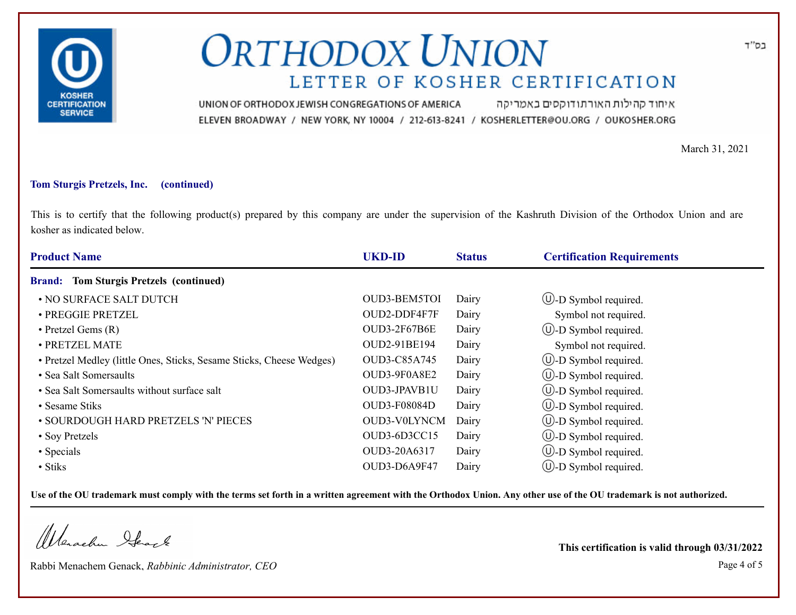

איחוד קהילות האורתודוקסים באמריקה UNION OF ORTHODOX JEWISH CONGREGATIONS OF AMERICA ELEVEN BROADWAY / NEW YORK, NY 10004 / 212-613-8241 / KOSHERLETTER@OU.ORG / OUKOSHER.ORG

March 31, 2021

### **Tom Sturgis Pretzels, Inc. (continued)**

This is to certify that the following product(s) prepared by this company are under the supervision of the Kashruth Division of the Orthodox Union and are kosher as indicated below.

| <b>Product Name</b>                                                  | <b>UKD-ID</b>       | <b>Status</b> | <b>Certification Requirements</b> |
|----------------------------------------------------------------------|---------------------|---------------|-----------------------------------|
| <b>Tom Sturgis Pretzels (continued)</b><br><b>Brand:</b>             |                     |               |                                   |
| • NO SURFACE SALT DUTCH                                              | OUD3-BEM5TOI        | Dairy         | $\bigcirc$ -D Symbol required.    |
| · PREGGIE PRETZEL                                                    | OUD2-DDF4F7F        | Dairy         | Symbol not required.              |
| $\bullet$ Pretzel Gems $(R)$                                         | <b>OUD3-2F67B6E</b> | Dairy         | $\bigcirc$ -D Symbol required.    |
| · PRETZEL MATE                                                       | OUD2-91BE194        | Dairy         | Symbol not required.              |
| • Pretzel Medley (little Ones, Sticks, Sesame Sticks, Cheese Wedges) | OUD3-C85A745        | Dairy         | $\cup$ -D Symbol required.        |
| • Sea Salt Somersaults                                               | OUD3-9F0A8E2        | Dairy         | $\cup$ -D Symbol required.        |
| • Sea Salt Somersaults without surface salt                          | OUD3-JPAVB1U        | Dairy         | $\cup$ -D Symbol required.        |
| • Sesame Stiks                                                       | <b>OUD3-F08084D</b> | Dairy         | $\bigcirc$ -D Symbol required.    |
| • SOURDOUGH HARD PRETZELS 'N' PIECES                                 | OUD3-V0LYNCM        | Dairy         | $\circled{1}$ -D Symbol required. |
| • Soy Pretzels                                                       | OUD3-6D3CC15        | Dairy         | $\cup$ -D Symbol required.        |
| • Specials                                                           | OUD3-20A6317        | Dairy         | $\cup$ -D Symbol required.        |
| $\bullet$ Stiks                                                      | OUD3-D6A9F47        | Dairy         | $\cup$ -D Symbol required.        |

**Use of the OU trademark must comply with the terms set forth in a written agreement with the Orthodox Union. Any other use of the OU trademark is not authorized.**

Werachen Stack

Rabbi Menachem Genack, *Rabbinic Administrator, CEO* Page 4 of 5

**This certification is valid through 03/31/2022**